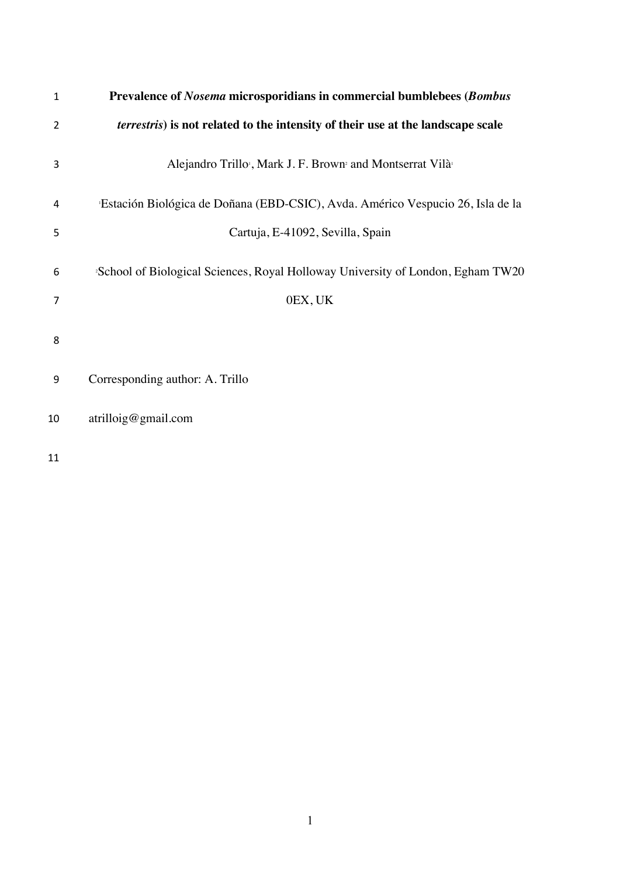| $\mathbf{1}$ | Prevalence of Nosema microsporidians in commercial bumblebees (Bombus                          |
|--------------|------------------------------------------------------------------------------------------------|
| 2            | <i>terrestris</i> ) is not related to the intensity of their use at the landscape scale        |
| 3            | Alejandro Trillo <sup>,</sup> , Mark J. F. Brown <sup>2</sup> and Montserrat Vilà <sup>1</sup> |
| 4            | Estación Biológica de Doñana (EBD-CSIC), Avda. Américo Vespucio 26, Isla de la                 |
| 5            | Cartuja, E-41092, Sevilla, Spain                                                               |
| 6            | <sup>2</sup> School of Biological Sciences, Royal Holloway University of London, Egham TW20    |
| 7            | 0EX, UK                                                                                        |
| 8            |                                                                                                |
| 9            | Corresponding author: A. Trillo                                                                |
| 10           | artilloig@gmail.com                                                                            |
| 11           |                                                                                                |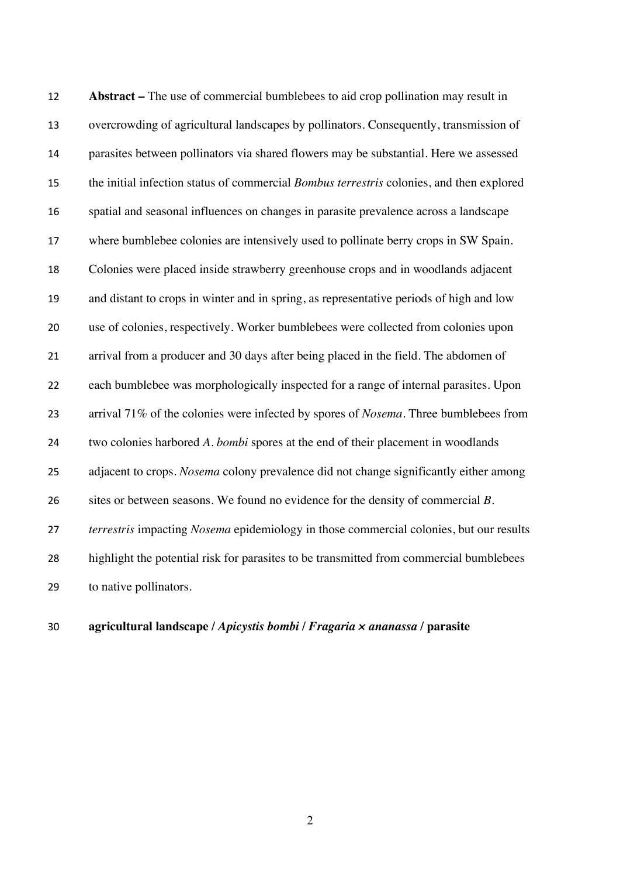**Abstract –** The use of commercial bumblebees to aid crop pollination may result in overcrowding of agricultural landscapes by pollinators. Consequently, transmission of parasites between pollinators via shared flowers may be substantial. Here we assessed the initial infection status of commercial *Bombus terrestris* colonies, and then explored spatial and seasonal influences on changes in parasite prevalence across a landscape where bumblebee colonies are intensively used to pollinate berry crops in SW Spain. Colonies were placed inside strawberry greenhouse crops and in woodlands adjacent and distant to crops in winter and in spring, as representative periods of high and low use of colonies, respectively. Worker bumblebees were collected from colonies upon arrival from a producer and 30 days after being placed in the field. The abdomen of each bumblebee was morphologically inspected for a range of internal parasites. Upon arrival 71% of the colonies were infected by spores of *Nosema*. Three bumblebees from two colonies harbored *A. bombi* spores at the end of their placement in woodlands adjacent to crops. *Nosema* colony prevalence did not change significantly either among sites or between seasons. We found no evidence for the density of commercial *B. terrestris* impacting *Nosema* epidemiology in those commercial colonies, but our results highlight the potential risk for parasites to be transmitted from commercial bumblebees to native pollinators.

**agricultural landscape /** *Apicystis bombi* **/** *Fragaria × ananassa* **/ parasite**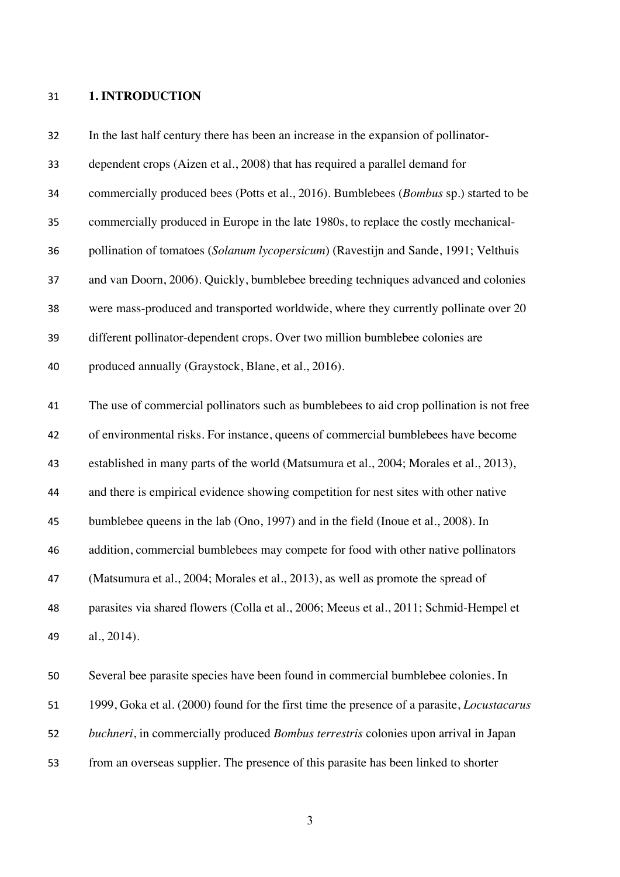## **1. INTRODUCTION**

| 32 | In the last half century there has been an increase in the expansion of pollinator-               |
|----|---------------------------------------------------------------------------------------------------|
| 33 | dependent crops (Aizen et al., 2008) that has required a parallel demand for                      |
| 34 | commercially produced bees (Potts et al., 2016). Bumblebees (Bombus sp.) started to be            |
| 35 | commercially produced in Europe in the late 1980s, to replace the costly mechanical-              |
| 36 | pollination of tomatoes (Solanum lycopersicum) (Ravestijn and Sande, 1991; Velthuis               |
| 37 | and van Doorn, 2006). Quickly, bumblebee breeding techniques advanced and colonies                |
| 38 | were mass-produced and transported worldwide, where they currently pollinate over 20              |
| 39 | different pollinator-dependent crops. Over two million bumblebee colonies are                     |
| 40 | produced annually (Graystock, Blane, et al., 2016).                                               |
| 41 | The use of commercial pollinators such as bumblebees to aid crop pollination is not free          |
| 42 | of environmental risks. For instance, queens of commercial bumblebees have become                 |
| 43 | established in many parts of the world (Matsumura et al., 2004; Morales et al., 2013),            |
| 44 | and there is empirical evidence showing competition for nest sites with other native              |
| 45 | bumblebee queens in the lab (Ono, 1997) and in the field (Inoue et al., 2008). In                 |
| 46 | addition, commercial bumblebees may compete for food with other native pollinators                |
| 47 | (Matsumura et al., 2004; Morales et al., 2013), as well as promote the spread of                  |
| 48 | parasites via shared flowers (Colla et al., 2006; Meeus et al., 2011; Schmid-Hempel et            |
| 49 | al., 2014).                                                                                       |
| 50 | Several bee parasite species have been found in commercial bumblebee colonies. In                 |
| 51 | 1999, Goka et al. (2000) found for the first time the presence of a parasite, <i>Locustacarus</i> |
| 52 | buchneri, in commercially produced Bombus terrestris colonies upon arrival in Japan               |

from an overseas supplier. The presence of this parasite has been linked to shorter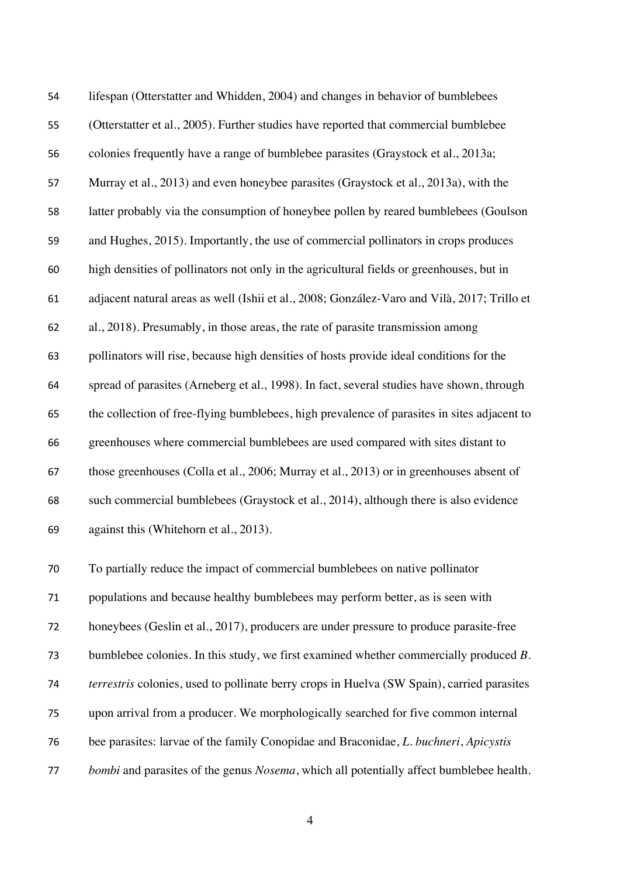| 54                       | lifespan (Otterstatter and Whidden, 2004) and changes in behavior of bumblebees                                              |
|--------------------------|------------------------------------------------------------------------------------------------------------------------------|
| 55                       | (Otterstatter et al., 2005). Further studies have reported that commercial bumblebee                                         |
| 56                       | colonies frequently have a range of bumblebee parasites (Graystock et al., 2013a;                                            |
| 57                       | Murray et al., 2013) and even honeybee parasites (Graystock et al., 2013a), with the                                         |
| 58                       | latter probably via the consumption of honeybee pollen by reared bumblebees (Goulson                                         |
| 59                       | and Hughes, 2015). Importantly, the use of commercial pollinators in crops produces                                          |
| 60                       | high densities of pollinators not only in the agricultural fields or greenhouses, but in                                     |
| 61                       | adjacent natural areas as well (Ishii et al., 2008; González-Varo and Vilà, 2017; Trillo et                                  |
| 62                       | al., 2018). Presumably, in those areas, the rate of parasite transmission among                                              |
| 63                       | pollinators will rise, because high densities of hosts provide ideal conditions for the                                      |
| 64                       | spread of parasites (Arneberg et al., 1998). In fact, several studies have shown, through                                    |
| 65                       | the collection of free-flying bumblebees, high prevalence of parasites in sites adjacent to                                  |
| 66                       | greenhouses where commercial bumblebees are used compared with sites distant to                                              |
| 67                       | those greenhouses (Colla et al., 2006; Murray et al., 2013) or in greenhouses absent of                                      |
| 68                       | such commercial bumblebees (Graystock et al., 2014), although there is also evidence                                         |
| 69                       | against this (Whitehorn et al., 2013).                                                                                       |
| $\overline{\phantom{a}}$ | $\mathbf{T}$ , and at the settlement of a term of a contracted the set of the contraction of the set of $\mathbf{H}^*$ , and |

 To partially reduce the impact of commercial bumblebees on native pollinator populations and because healthy bumblebees may perform better, as is seen with honeybees (Geslin et al., 2017), producers are under pressure to produce parasite-free bumblebee colonies. In this study, we first examined whether commercially produced *B. terrestris* colonies, used to pollinate berry crops in Huelva (SW Spain), carried parasites upon arrival from a producer. We morphologically searched for five common internal bee parasites: larvae of the family Conopidae and Braconidae, *L. buchneri*, *Apicystis bombi* and parasites of the genus *Nosema*, which all potentially affect bumblebee health.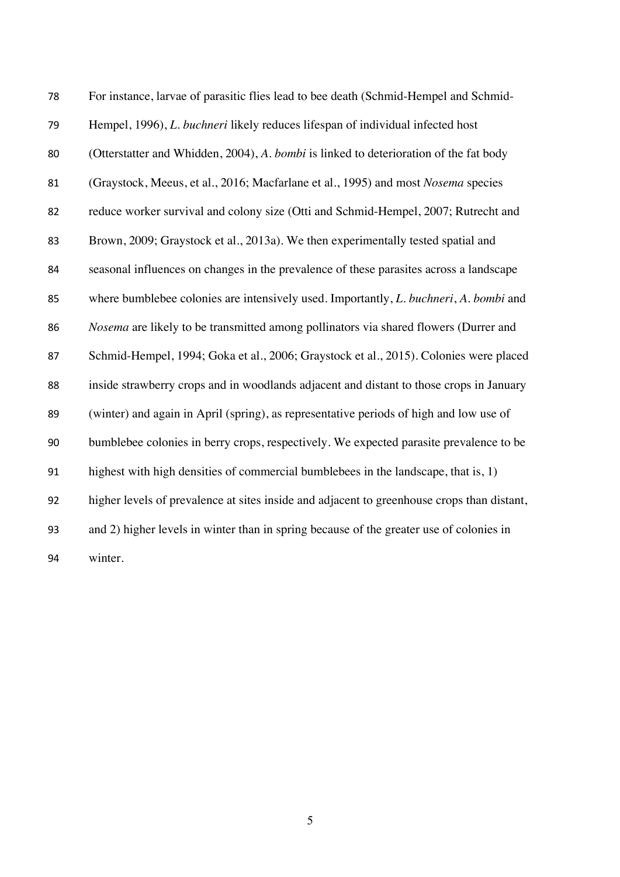| 78 | For instance, larvae of parasitic flies lead to bee death (Schmid-Hempel and Schmid-                 |
|----|------------------------------------------------------------------------------------------------------|
| 79 | Hempel, 1996), L. buchneri likely reduces lifespan of individual infected host                       |
| 80 | (Otterstatter and Whidden, 2004), A. bombi is linked to deterioration of the fat body                |
| 81 | (Graystock, Meeus, et al., 2016; Macfarlane et al., 1995) and most Nosema species                    |
| 82 | reduce worker survival and colony size (Otti and Schmid-Hempel, 2007; Rutrecht and                   |
| 83 | Brown, 2009; Graystock et al., 2013a). We then experimentally tested spatial and                     |
| 84 | seasonal influences on changes in the prevalence of these parasites across a landscape               |
| 85 | where bumblebee colonies are intensively used. Importantly, <i>L. buchneri</i> , <i>A. bombi</i> and |
| 86 | Nosema are likely to be transmitted among pollinators via shared flowers (Durrer and                 |
| 87 | Schmid-Hempel, 1994; Goka et al., 2006; Graystock et al., 2015). Colonies were placed                |
| 88 | inside strawberry crops and in woodlands adjacent and distant to those crops in January              |
| 89 | (winter) and again in April (spring), as representative periods of high and low use of               |
| 90 | bumblebee colonies in berry crops, respectively. We expected parasite prevalence to be               |
| 91 | highest with high densities of commercial bumblebees in the landscape, that is, 1)                   |
| 92 | higher levels of prevalence at sites inside and adjacent to greenhouse crops than distant,           |
| 93 | and 2) higher levels in winter than in spring because of the greater use of colonies in              |
| 94 | winter.                                                                                              |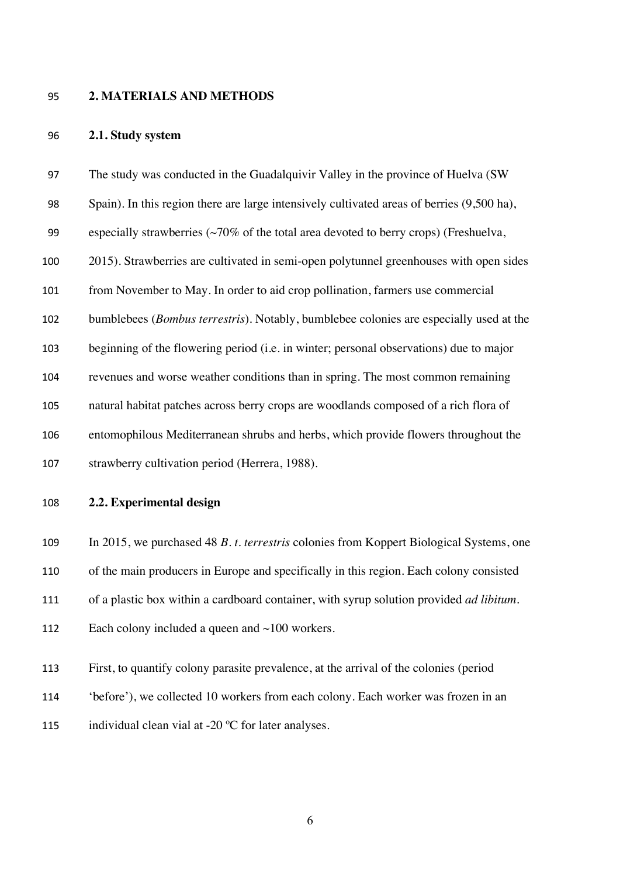#### **2. MATERIALS AND METHODS**

#### **2.1. Study system**

 The study was conducted in the Guadalquivir Valley in the province of Huelva (SW Spain). In this region there are large intensively cultivated areas of berries (9,500 ha), 99 especially strawberries  $\sim 70\%$  of the total area devoted to berry crops) (Freshuelva, 2015). Strawberries are cultivated in semi-open polytunnel greenhouses with open sides from November to May. In order to aid crop pollination, farmers use commercial bumblebees (*Bombus terrestris*). Notably, bumblebee colonies are especially used at the beginning of the flowering period (i.e. in winter; personal observations) due to major revenues and worse weather conditions than in spring. The most common remaining natural habitat patches across berry crops are woodlands composed of a rich flora of entomophilous Mediterranean shrubs and herbs, which provide flowers throughout the strawberry cultivation period (Herrera, 1988).

**2.2. Experimental design**

In 2015, we purchased 48 *B. t. terrestris* colonies from Koppert Biological Systems, one

of the main producers in Europe and specifically in this region. Each colony consisted

of a plastic box within a cardboard container, with syrup solution provided *ad libitum*.

| 112 | Each colony included a queen and $\sim$ 100 workers. |  |  |  |  |
|-----|------------------------------------------------------|--|--|--|--|
|-----|------------------------------------------------------|--|--|--|--|

- First, to quantify colony parasite prevalence, at the arrival of the colonies (period
- 'before'), we collected 10 workers from each colony. Each worker was frozen in an
- 115 individual clean vial at -20 °C for later analyses.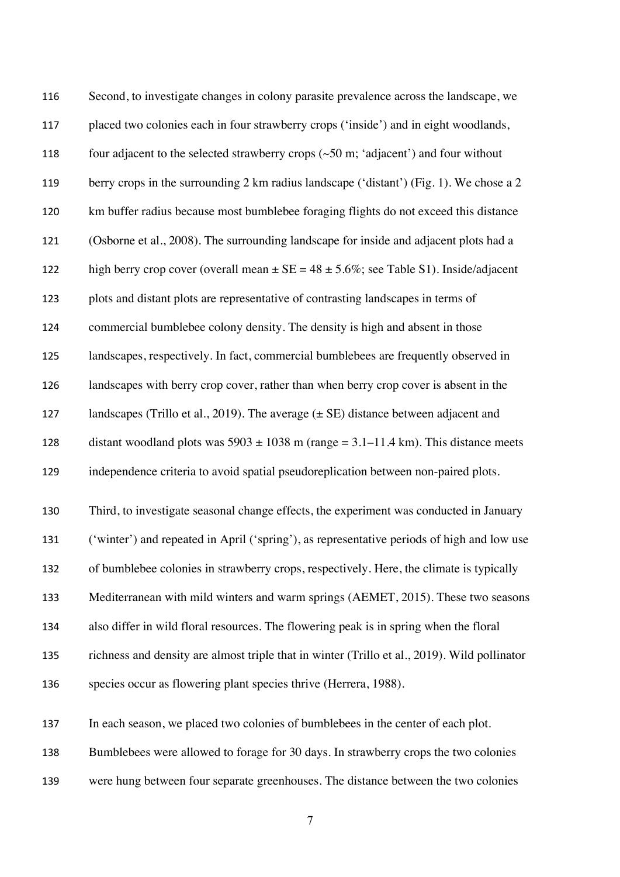| 116 | Second, to investigate changes in colony parasite prevalence across the landscape, we              |
|-----|----------------------------------------------------------------------------------------------------|
| 117 | placed two colonies each in four strawberry crops ('inside') and in eight woodlands,               |
| 118 | four adjacent to the selected strawberry crops $(\sim 50 \text{ m}$ ; 'adjacent') and four without |
| 119 | berry crops in the surrounding 2 km radius landscape ('distant') (Fig. 1). We chose a 2            |
| 120 | km buffer radius because most bumblebee foraging flights do not exceed this distance               |
| 121 | (Osborne et al., 2008). The surrounding landscape for inside and adjacent plots had a              |
| 122 | high berry crop cover (overall mean $\pm$ SE = 48 $\pm$ 5.6%; see Table S1). Inside/adjacent       |
| 123 | plots and distant plots are representative of contrasting landscapes in terms of                   |
| 124 | commercial bumblebee colony density. The density is high and absent in those                       |
| 125 | landscapes, respectively. In fact, commercial bumblebees are frequently observed in                |
| 126 | landscapes with berry crop cover, rather than when berry crop cover is absent in the               |
| 127 | landscapes (Trillo et al., 2019). The average $(\pm \text{ SE})$ distance between adjacent and     |
| 128 | distant woodland plots was $5903 \pm 1038$ m (range = 3.1–11.4 km). This distance meets            |
| 129 | independence criteria to avoid spatial pseudoreplication between non-paired plots.                 |
| 130 | Third, to investigate seasonal change effects, the experiment was conducted in January             |
| 131 | ('winter') and repeated in April ('spring'), as representative periods of high and low use         |
| 132 | of bumblebee colonies in strawberry crops, respectively. Here, the climate is typically            |
| 133 | Mediterranean with mild winters and warm springs (AEMET, 2015). These two seasons                  |
| 134 | also differ in wild floral resources. The flowering peak is in spring when the floral              |
| 135 | richness and density are almost triple that in winter (Trillo et al., 2019). Wild pollinator       |
| 136 | species occur as flowering plant species thrive (Herrera, 1988).                                   |
| 137 | In each season, we placed two colonies of bumblebees in the center of each plot.                   |
| 138 | Bumblebees were allowed to forage for 30 days. In strawberry crops the two colonies                |
|     |                                                                                                    |

were hung between four separate greenhouses. The distance between the two colonies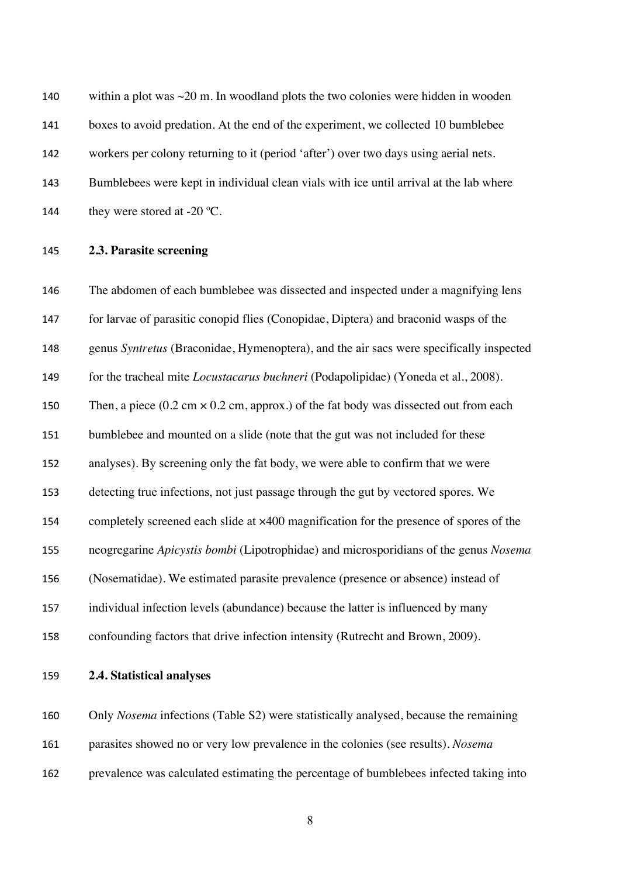140 within a plot was  $\sim$  20 m. In woodland plots the two colonies were hidden in wooden boxes to avoid predation. At the end of the experiment, we collected 10 bumblebee workers per colony returning to it (period 'after') over two days using aerial nets. Bumblebees were kept in individual clean vials with ice until arrival at the lab where 144 they were stored at  $-20$  °C.

**2.3. Parasite screening**

 The abdomen of each bumblebee was dissected and inspected under a magnifying lens for larvae of parasitic conopid flies (Conopidae, Diptera) and braconid wasps of the genus *Syntretus* (Braconidae, Hymenoptera), and the air sacs were specifically inspected for the tracheal mite *Locustacarus buchneri* (Podapolipidae) (Yoneda et al., 2008). 150 Then, a piece  $(0.2 \text{ cm} \times 0.2 \text{ cm}, \text{approx.})$  of the fat body was dissected out from each bumblebee and mounted on a slide (note that the gut was not included for these analyses). By screening only the fat body, we were able to confirm that we were detecting true infections, not just passage through the gut by vectored spores. We completely screened each slide at ×400 magnification for the presence of spores of the neogregarine *Apicystis bombi* (Lipotrophidae) and microsporidians of the genus *Nosema*  (Nosematidae). We estimated parasite prevalence (presence or absence) instead of individual infection levels (abundance) because the latter is influenced by many confounding factors that drive infection intensity (Rutrecht and Brown, 2009).

**2.4. Statistical analyses**

 Only *Nosema* infections (Table S2) were statistically analysed, because the remaining parasites showed no or very low prevalence in the colonies (see results). *Nosema*

prevalence was calculated estimating the percentage of bumblebees infected taking into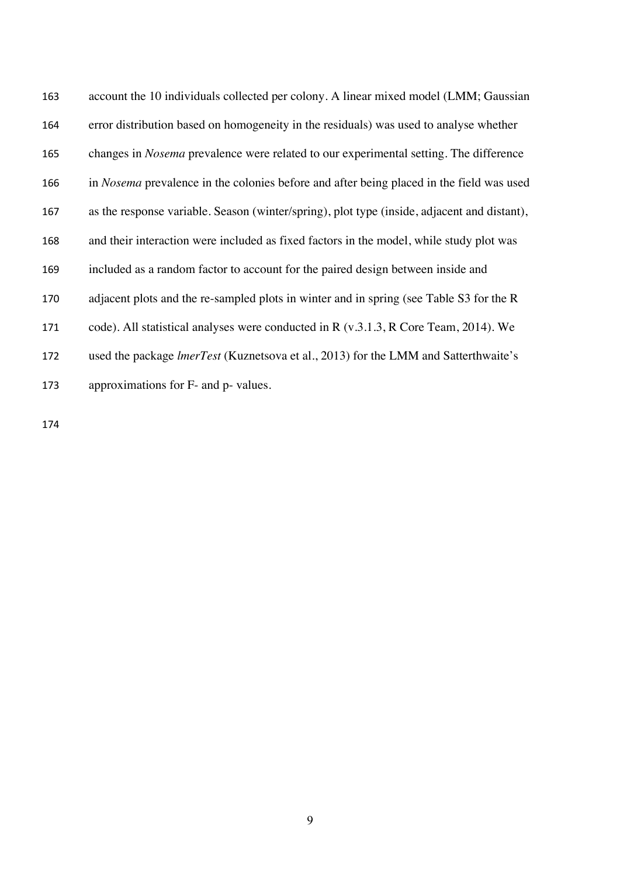| 163 | account the 10 individuals collected per colony. A linear mixed model (LMM; Gaussian            |
|-----|-------------------------------------------------------------------------------------------------|
| 164 | error distribution based on homogeneity in the residuals) was used to analyse whether           |
| 165 | changes in <i>Nosema</i> prevalence were related to our experimental setting. The difference    |
| 166 | in <i>Nosema</i> prevalence in the colonies before and after being placed in the field was used |
| 167 | as the response variable. Season (winter/spring), plot type (inside, adjacent and distant),     |
| 168 | and their interaction were included as fixed factors in the model, while study plot was         |
| 169 | included as a random factor to account for the paired design between inside and                 |
| 170 | adjacent plots and the re-sampled plots in winter and in spring (see Table S3 for the R         |
| 171 | code). All statistical analyses were conducted in R $(v.3.1.3, R$ Core Team, 2014). We          |
| 172 | used the package <i>lmerTest</i> (Kuznetsova et al., 2013) for the LMM and Satterthwaite's      |
| 173 | approximations for F- and p- values.                                                            |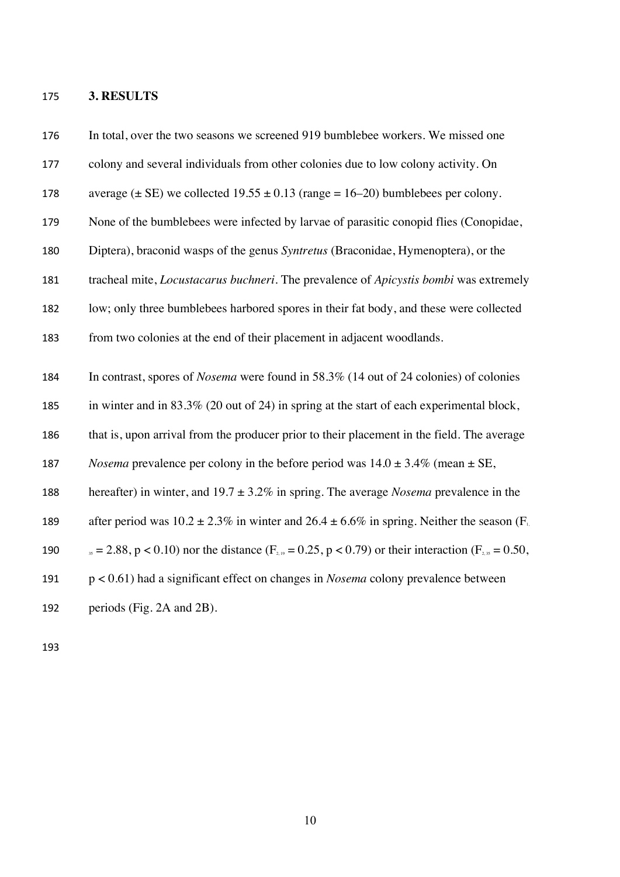#### **3. RESULTS**

 In total, over the two seasons we screened 919 bumblebee workers. We missed one colony and several individuals from other colonies due to low colony activity. On 178 average  $(\pm \text{ SE})$  we collected  $19.55 \pm 0.13$  (range = 16–20) bumblebees per colony. None of the bumblebees were infected by larvae of parasitic conopid flies (Conopidae, Diptera), braconid wasps of the genus *Syntretus* (Braconidae, Hymenoptera), or the tracheal mite, *Locustacarus buchneri*. The prevalence of *Apicystis bombi* was extremely low; only three bumblebees harbored spores in their fat body, and these were collected from two colonies at the end of their placement in adjacent woodlands. In contrast, spores of *Nosema* were found in 58.3% (14 out of 24 colonies) of colonies in winter and in 83.3% (20 out of 24) in spring at the start of each experimental block, that is, upon arrival from the producer prior to their placement in the field. The average 187 *Nosema* prevalence per colony in the before period was  $14.0 \pm 3.4\%$  (mean  $\pm$  SE, hereafter) in winter, and 19.7 ± 3.2% in spring. The average *Nosema* prevalence in the 189 after period was  $10.2 \pm 2.3\%$  in winter and  $26.4 \pm 6.6\%$  in spring. Neither the season (F<sub>1</sub>) 190  $_{35} = 2.88$ , p < 0.10) nor the distance (F<sub>2,19</sub> = 0.25, p < 0.79) or their interaction (F<sub>2,35</sub> = 0.50, p < 0.61) had a significant effect on changes in *Nosema* colony prevalence between periods (Fig. 2A and 2B).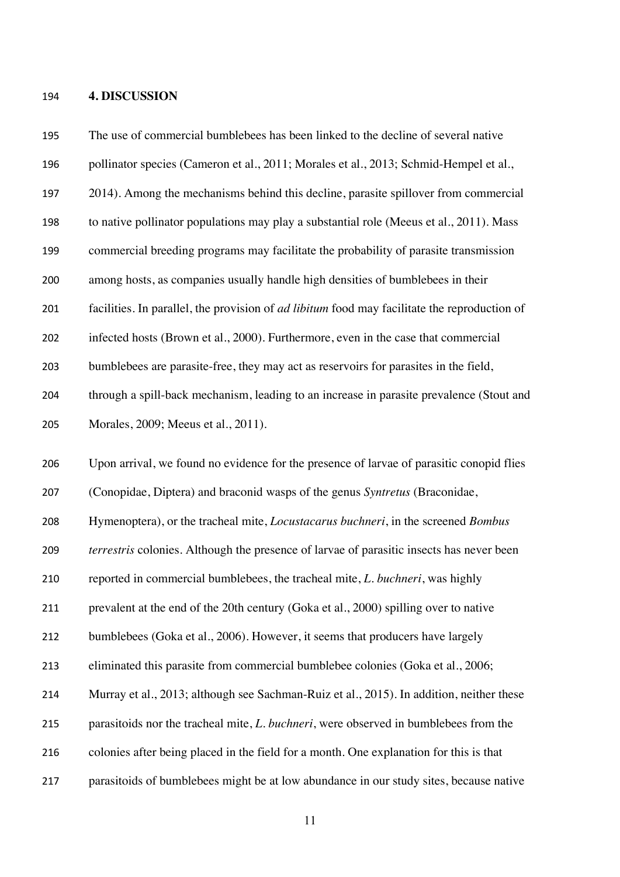#### **4. DISCUSSION**

 The use of commercial bumblebees has been linked to the decline of several native pollinator species (Cameron et al., 2011; Morales et al., 2013; Schmid-Hempel et al., 2014). Among the mechanisms behind this decline, parasite spillover from commercial to native pollinator populations may play a substantial role (Meeus et al., 2011). Mass commercial breeding programs may facilitate the probability of parasite transmission among hosts, as companies usually handle high densities of bumblebees in their facilities. In parallel, the provision of *ad libitum* food may facilitate the reproduction of infected hosts (Brown et al., 2000). Furthermore, even in the case that commercial bumblebees are parasite-free, they may act as reservoirs for parasites in the field, through a spill-back mechanism, leading to an increase in parasite prevalence (Stout and Morales, 2009; Meeus et al., 2011). Upon arrival, we found no evidence for the presence of larvae of parasitic conopid flies (Conopidae, Diptera) and braconid wasps of the genus *Syntretus* (Braconidae, Hymenoptera), or the tracheal mite, *Locustacarus buchneri*, in the screened *Bombus terrestris* colonies. Although the presence of larvae of parasitic insects has never been reported in commercial bumblebees, the tracheal mite, *L. buchneri*, was highly prevalent at the end of the 20th century (Goka et al., 2000) spilling over to native bumblebees (Goka et al., 2006). However, it seems that producers have largely eliminated this parasite from commercial bumblebee colonies (Goka et al., 2006; Murray et al., 2013; although see Sachman-Ruiz et al., 2015). In addition, neither these parasitoids nor the tracheal mite, *L. buchneri*, were observed in bumblebees from the colonies after being placed in the field for a month. One explanation for this is that parasitoids of bumblebees might be at low abundance in our study sites, because native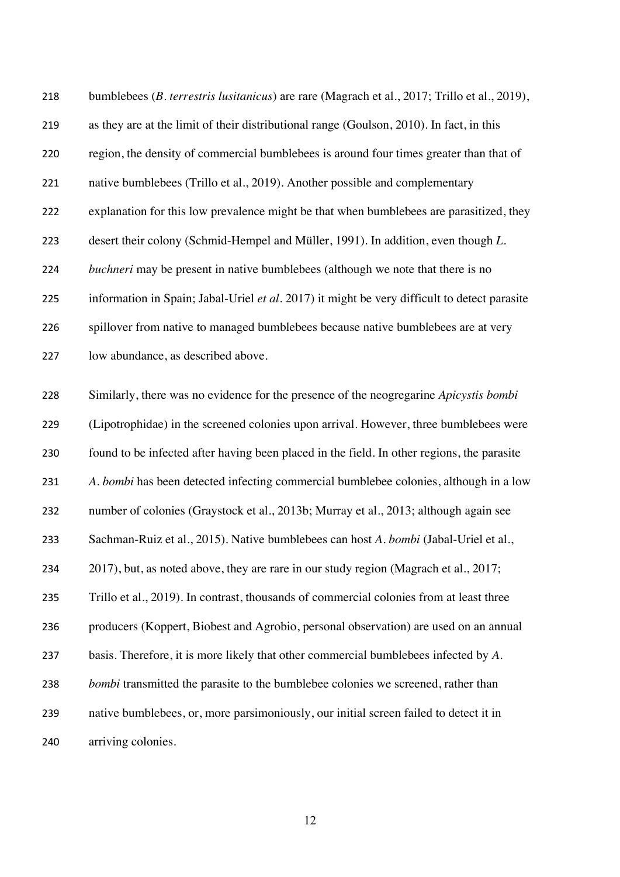| 218 | bumblebees ( <i>B. terrestris lusitanicus</i> ) are rare (Magrach et al., 2017; Trillo et al., 2019), |
|-----|-------------------------------------------------------------------------------------------------------|
| 219 | as they are at the limit of their distributional range (Goulson, 2010). In fact, in this              |
| 220 | region, the density of commercial bumblebees is around four times greater than that of                |
| 221 | native bumblebees (Trillo et al., 2019). Another possible and complementary                           |
| 222 | explanation for this low prevalence might be that when bumblebees are parasitized, they               |
| 223 | desert their colony (Schmid-Hempel and Müller, 1991). In addition, even though L.                     |
| 224 | <i>buchneri</i> may be present in native bumblebees (although we note that there is no                |
| 225 | information in Spain; Jabal-Uriel et al. 2017) it might be very difficult to detect parasite          |
| 226 | spillover from native to managed bumblebees because native bumblebees are at very                     |
| 227 | low abundance, as described above.                                                                    |
| 228 | Similarly, there was no evidence for the presence of the neogregarine Apicystis bombi                 |
| 229 | (Lipotrophidae) in the screened colonies upon arrival. However, three bumblebees were                 |
| 230 | found to be infected after having been placed in the field. In other regions, the parasite            |
| 231 | A. bombi has been detected infecting commercial bumblebee colonies, although in a low                 |
| 232 | number of colonies (Graystock et al., 2013b; Murray et al., 2013; although again see                  |
| 233 | Sachman-Ruiz et al., 2015). Native bumblebees can host A. bombi (Jabal-Uriel et al.,                  |
| 234 | 2017), but, as noted above, they are rare in our study region (Magrach et al., 2017;                  |
| 235 | Trillo et al., 2019). In contrast, thousands of commercial colonies from at least three               |
| 236 | producers (Koppert, Biobest and Agrobio, personal observation) are used on an annual                  |
| 237 | basis. Therefore, it is more likely that other commercial bumblebees infected by A.                   |
| 238 | <i>bombi</i> transmitted the parasite to the bumblebee colonies we screened, rather than              |
| 239 | native bumblebees, or, more parsimoniously, our initial screen failed to detect it in                 |
| 240 | arriving colonies.                                                                                    |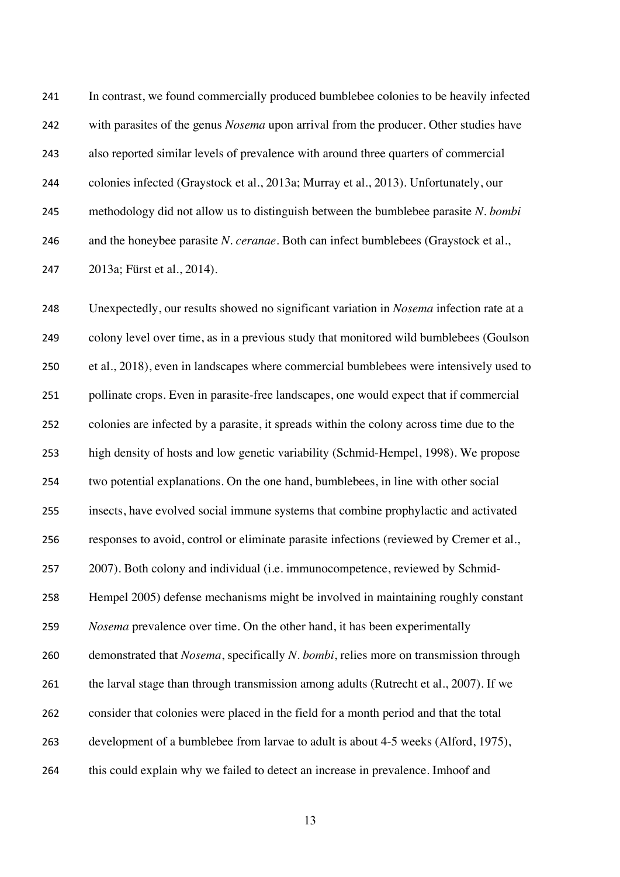In contrast, we found commercially produced bumblebee colonies to be heavily infected with parasites of the genus *Nosema* upon arrival from the producer. Other studies have also reported similar levels of prevalence with around three quarters of commercial colonies infected (Graystock et al., 2013a; Murray et al., 2013). Unfortunately, our methodology did not allow us to distinguish between the bumblebee parasite *N. bombi* and the honeybee parasite *N. ceranae*. Both can infect bumblebees (Graystock et al., 2013a; Fürst et al., 2014).

 Unexpectedly, our results showed no significant variation in *Nosema* infection rate at a colony level over time, as in a previous study that monitored wild bumblebees (Goulson et al., 2018), even in landscapes where commercial bumblebees were intensively used to pollinate crops. Even in parasite-free landscapes, one would expect that if commercial colonies are infected by a parasite, it spreads within the colony across time due to the high density of hosts and low genetic variability (Schmid-Hempel, 1998). We propose two potential explanations. On the one hand, bumblebees, in line with other social insects, have evolved social immune systems that combine prophylactic and activated responses to avoid, control or eliminate parasite infections (reviewed by Cremer et al., 2007). Both colony and individual (i.e. immunocompetence, reviewed by Schmid- Hempel 2005) defense mechanisms might be involved in maintaining roughly constant *Nosema* prevalence over time. On the other hand, it has been experimentally demonstrated that *Nosema*, specifically *N. bombi*, relies more on transmission through 261 the larval stage than through transmission among adults (Rutrecht et al., 2007). If we consider that colonies were placed in the field for a month period and that the total development of a bumblebee from larvae to adult is about 4-5 weeks (Alford, 1975), this could explain why we failed to detect an increase in prevalence. Imhoof and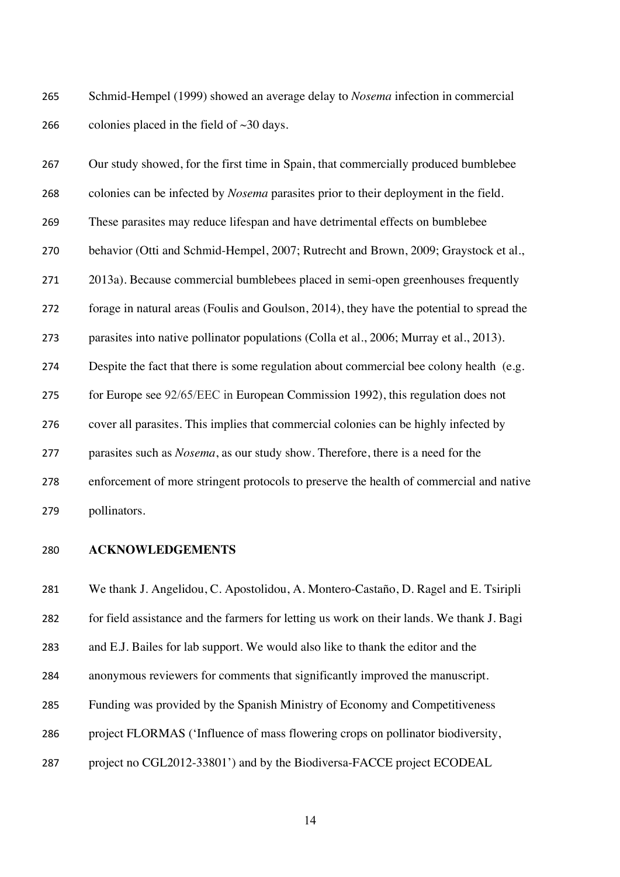Schmid-Hempel (1999) showed an average delay to *Nosema* infection in commercial 266 colonies placed in the field of  $\sim$ 30 days.

| 267 | Our study showed, for the first time in Spain, that commercially produced bumblebee         |
|-----|---------------------------------------------------------------------------------------------|
| 268 | colonies can be infected by <i>Nosema</i> parasites prior to their deployment in the field. |
| 269 | These parasites may reduce lifespan and have detrimental effects on bumblebee               |
| 270 | behavior (Otti and Schmid-Hempel, 2007; Rutrecht and Brown, 2009; Graystock et al.,         |
| 271 | 2013a). Because commercial bumblebees placed in semi-open greenhouses frequently            |
| 272 | forage in natural areas (Foulis and Goulson, 2014), they have the potential to spread the   |
| 273 | parasites into native pollinator populations (Colla et al., 2006; Murray et al., 2013).     |
| 274 | Despite the fact that there is some regulation about commercial bee colony health (e.g.     |
| 275 | for Europe see 92/65/EEC in European Commission 1992), this regulation does not             |
| 276 | cover all parasites. This implies that commercial colonies can be highly infected by        |
| 277 | parasites such as <i>Nosema</i> , as our study show. Therefore, there is a need for the     |
| 278 | enforcement of more stringent protocols to preserve the health of commercial and native     |
| 279 | pollinators.                                                                                |

**ACKNOWLEDGEMENTS**

 We thank J. Angelidou, C. Apostolidou, A. Montero-Castaño, D. Ragel and E. Tsiripli for field assistance and the farmers for letting us work on their lands. We thank J. Bagi and E.J. Bailes for lab support. We would also like to thank the editor and the anonymous reviewers for comments that significantly improved the manuscript. Funding was provided by the Spanish Ministry of Economy and Competitiveness project FLORMAS ('Influence of mass flowering crops on pollinator biodiversity, project no CGL2012-33801') and by the Biodiversa-FACCE project ECODEAL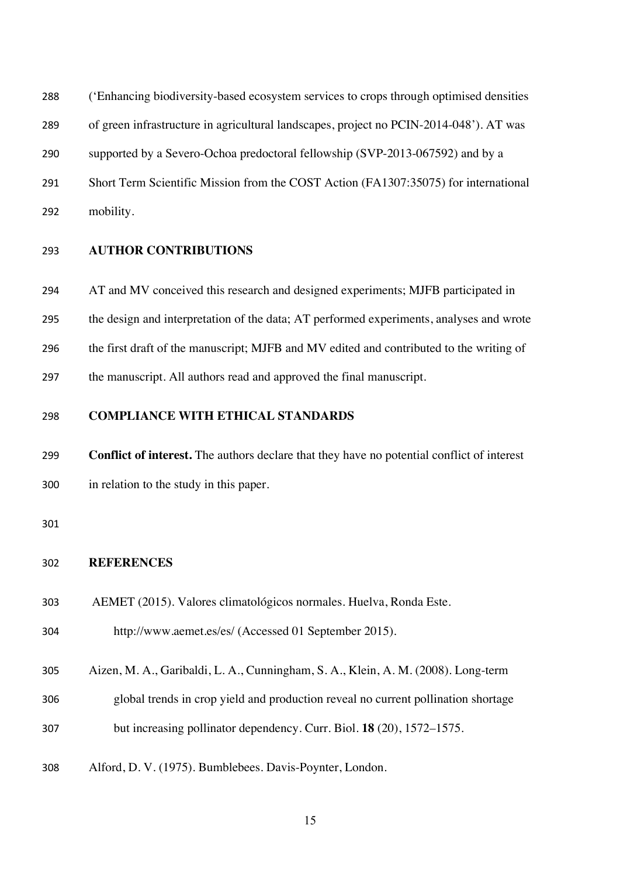('Enhancing biodiversity-based ecosystem services to crops through optimised densities

of green infrastructure in agricultural landscapes, project no PCIN-2014-048'). AT was

supported by a Severo-Ochoa predoctoral fellowship (SVP-2013-067592) and by a

Short Term Scientific Mission from the COST Action (FA1307:35075) for international

mobility.

## **AUTHOR CONTRIBUTIONS**

AT and MV conceived this research and designed experiments; MJFB participated in

the design and interpretation of the data; AT performed experiments, analyses and wrote

the first draft of the manuscript; MJFB and MV edited and contributed to the writing of

the manuscript. All authors read and approved the final manuscript.

## **COMPLIANCE WITH ETHICAL STANDARDS**

 **Conflict of interest.** The authors declare that they have no potential conflict of interest in relation to the study in this paper.

### **REFERENCES**

AEMET (2015). Valores climatológicos normales. Huelva, Ronda Este.

http://www.aemet.es/es/ (Accessed 01 September 2015).

Aizen, M. A., Garibaldi, L. A., Cunningham, S. A., Klein, A. M. (2008). Long-term

- global trends in crop yield and production reveal no current pollination shortage
- but increasing pollinator dependency. Curr. Biol. **18** (20), 1572–1575.
- Alford, D. V. (1975). Bumblebees. Davis-Poynter, London.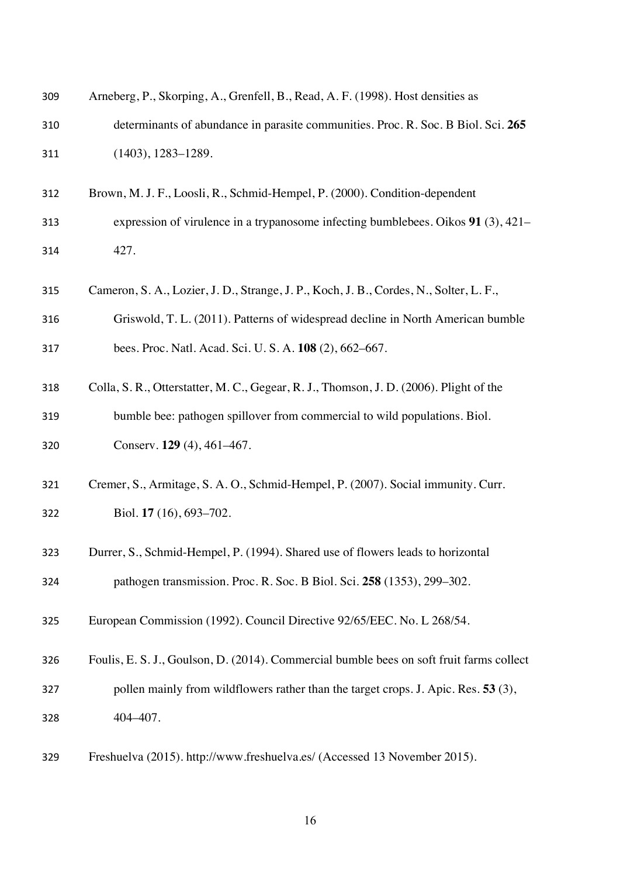| 309 | Arneberg, P., Skorping, A., Grenfell, B., Read, A. F. (1998). Host densities as          |
|-----|------------------------------------------------------------------------------------------|
| 310 | determinants of abundance in parasite communities. Proc. R. Soc. B Biol. Sci. 265        |
| 311 | $(1403), 1283 - 1289.$                                                                   |
| 312 | Brown, M. J. F., Loosli, R., Schmid-Hempel, P. (2000). Condition-dependent               |
| 313 | expression of virulence in a trypanosome infecting bumblebees. Oikos $91$ (3), 421–      |
| 314 | 427.                                                                                     |
| 315 | Cameron, S. A., Lozier, J. D., Strange, J. P., Koch, J. B., Cordes, N., Solter, L. F.,   |
| 316 | Griswold, T. L. (2011). Patterns of widespread decline in North American bumble          |
| 317 | bees. Proc. Natl. Acad. Sci. U. S. A. 108 (2), 662–667.                                  |
| 318 | Colla, S. R., Otterstatter, M. C., Gegear, R. J., Thomson, J. D. (2006). Plight of the   |
| 319 | bumble bee: pathogen spillover from commercial to wild populations. Biol.                |
| 320 | Conserv. 129 (4), 461–467.                                                               |
| 321 | Cremer, S., Armitage, S. A. O., Schmid-Hempel, P. (2007). Social immunity. Curr.         |
| 322 | Biol. 17 (16), 693-702.                                                                  |
| 323 | Durrer, S., Schmid-Hempel, P. (1994). Shared use of flowers leads to horizontal          |
| 324 | pathogen transmission. Proc. R. Soc. B Biol. Sci. 258 (1353), 299–302.                   |
| 325 | European Commission (1992). Council Directive 92/65/EEC. No. L 268/54.                   |
| 326 | Foulis, E. S. J., Goulson, D. (2014). Commercial bumble bees on soft fruit farms collect |
| 327 | pollen mainly from wildflowers rather than the target crops. J. Apic. Res. 53 (3),       |
| 328 | 404-407.                                                                                 |
|     |                                                                                          |

Freshuelva (2015). http://www.freshuelva.es/ (Accessed 13 November 2015).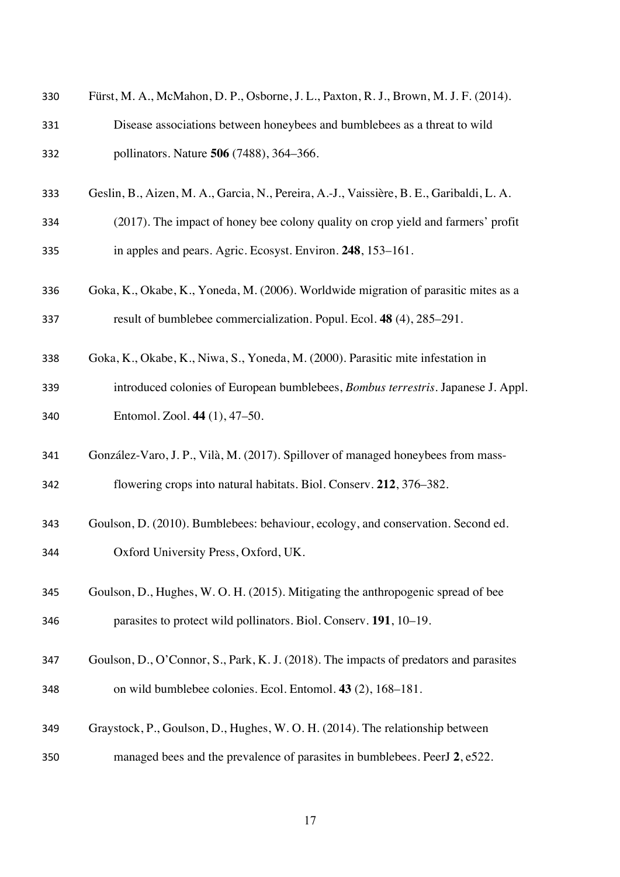| 330 | Fürst, M. A., McMahon, D. P., Osborne, J. L., Paxton, R. J., Brown, M. J. F. (2014).     |
|-----|------------------------------------------------------------------------------------------|
| 331 | Disease associations between honeybees and bumblebees as a threat to wild                |
| 332 | pollinators. Nature 506 (7488), 364-366.                                                 |
| 333 | Geslin, B., Aizen, M. A., Garcia, N., Pereira, A.-J., Vaissière, B. E., Garibaldi, L. A. |
| 334 | (2017). The impact of honey bee colony quality on crop yield and farmers' profit         |
| 335 | in apples and pears. Agric. Ecosyst. Environ. 248, 153-161.                              |
| 336 | Goka, K., Okabe, K., Yoneda, M. (2006). Worldwide migration of parasitic mites as a      |
| 337 | result of bumblebee commercialization. Popul. Ecol. 48 (4), 285–291.                     |
| 338 | Goka, K., Okabe, K., Niwa, S., Yoneda, M. (2000). Parasitic mite infestation in          |
| 339 | introduced colonies of European bumblebees, <i>Bombus terrestris</i> . Japanese J. Appl. |
| 340 | Entomol. Zool. 44 (1), 47–50.                                                            |
| 341 | González-Varo, J. P., Vilà, M. (2017). Spillover of managed honeybees from mass-         |
| 342 | flowering crops into natural habitats. Biol. Conserv. 212, 376–382.                      |
| 343 | Goulson, D. (2010). Bumblebees: behaviour, ecology, and conservation. Second ed.         |
| 344 | Oxford University Press, Oxford, UK.                                                     |
| 345 | Goulson, D., Hughes, W. O. H. (2015). Mitigating the anthropogenic spread of bee         |
| 346 | parasites to protect wild pollinators. Biol. Conserv. 191, 10–19.                        |
| 347 | Goulson, D., O'Connor, S., Park, K. J. (2018). The impacts of predators and parasites    |
| 348 | on wild bumblebee colonies. Ecol. Entomol. 43 (2), 168–181.                              |
| 349 | Graystock, P., Goulson, D., Hughes, W. O. H. (2014). The relationship between            |
| 350 | managed bees and the prevalence of parasites in bumblebees. PeerJ 2, e522.               |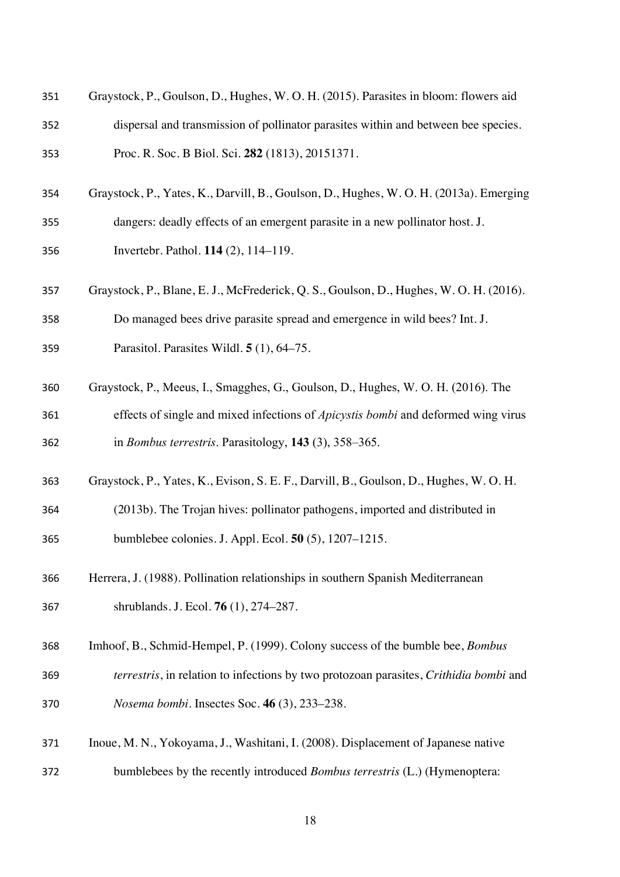| 351 | Graystock, P., Goulson, D., Hughes, W. O. H. (2015). Parasites in bloom: flowers aid     |
|-----|------------------------------------------------------------------------------------------|
| 352 | dispersal and transmission of pollinator parasites within and between bee species.       |
| 353 | Proc. R. Soc. B Biol. Sci. 282 (1813), 20151371.                                         |
| 354 | Graystock, P., Yates, K., Darvill, B., Goulson, D., Hughes, W. O. H. (2013a). Emerging   |
| 355 | dangers: deadly effects of an emergent parasite in a new pollinator host. J.             |
| 356 | Invertebr. Pathol. 114 (2), 114–119.                                                     |
| 357 | Graystock, P., Blane, E. J., McFrederick, Q. S., Goulson, D., Hughes, W. O. H. (2016).   |
| 358 | Do managed bees drive parasite spread and emergence in wild bees? Int. J.                |
| 359 | Parasitol. Parasites Wildl. 5 (1), 64–75.                                                |
| 360 | Graystock, P., Meeus, I., Smagghes, G., Goulson, D., Hughes, W. O. H. (2016). The        |
| 361 | effects of single and mixed infections of <i>Apicystis bombi</i> and deformed wing virus |
| 362 | in <i>Bombus terrestris</i> . Parasitology, 143 (3), 358–365.                            |
| 363 | Graystock, P., Yates, K., Evison, S. E. F., Darvill, B., Goulson, D., Hughes, W. O. H.   |
| 364 | (2013b). The Trojan hives: pollinator pathogens, imported and distributed in             |
| 365 | bumblebee colonies. J. Appl. Ecol. 50 (5), 1207–1215.                                    |
| 366 | Herrera, J. (1988). Pollination relationships in southern Spanish Mediterranean          |
| 367 | shrublands. J. Ecol. <b>76</b> (1), 274–287.                                             |
| 368 | Imhoof, B., Schmid-Hempel, P. (1999). Colony success of the bumble bee, <i>Bombus</i>    |
| 369 | terrestris, in relation to infections by two protozoan parasites, Crithidia bombi and    |
| 370 | Nosema bombi. Insectes Soc. 46 (3), 233-238.                                             |
| 371 | Inoue, M. N., Yokoyama, J., Washitani, I. (2008). Displacement of Japanese native        |
| 372 | bumblebees by the recently introduced <i>Bombus terrestris</i> (L.) (Hymenoptera:        |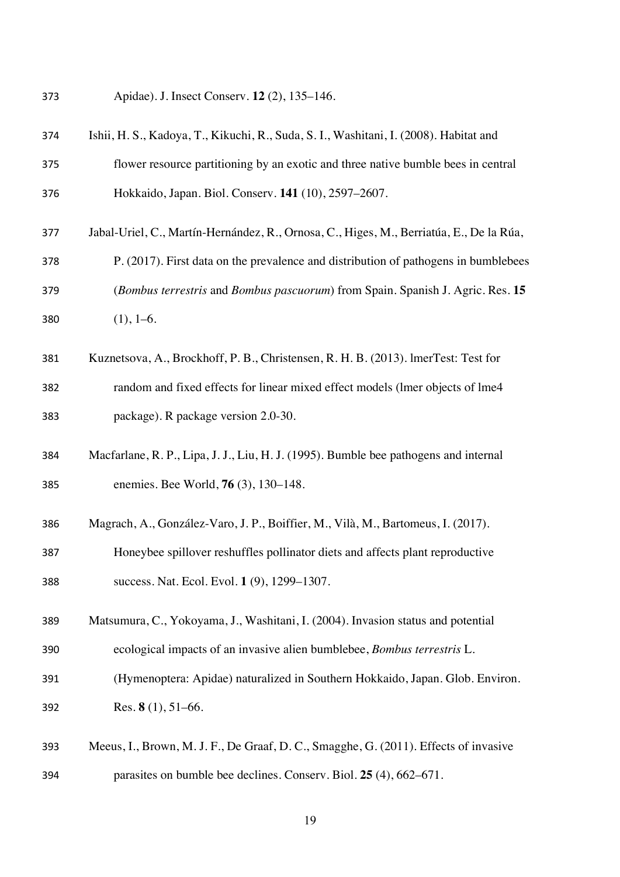Apidae). J. Insect Conserv. **12** (2), 135–146.

| 374 | Ishii, H. S., Kadoya, T., Kikuchi, R., Suda, S. I., Washitani, I. (2008). Habitat and   |
|-----|-----------------------------------------------------------------------------------------|
| 375 | flower resource partitioning by an exotic and three native bumble bees in central       |
| 376 | Hokkaido, Japan. Biol. Conserv. 141 (10), 2597-2607.                                    |
| 377 | Jabal-Uriel, C., Martín-Hernández, R., Ornosa, C., Higes, M., Berriatúa, E., De la Rúa, |
| 378 | P. (2017). First data on the prevalence and distribution of pathogens in bumblebees     |
| 379 | (Bombus terrestris and Bombus pascuorum) from Spain. Spanish J. Agric. Res. 15          |
| 380 | $(1), 1-6.$                                                                             |
| 381 | Kuznetsova, A., Brockhoff, P. B., Christensen, R. H. B. (2013). ImerTest: Test for      |
| 382 | random and fixed effects for linear mixed effect models (lmer objects of lme4           |
| 383 | package). R package version 2.0-30.                                                     |
| 384 | Macfarlane, R. P., Lipa, J. J., Liu, H. J. (1995). Bumble bee pathogens and internal    |
| 385 | enemies. Bee World, 76 (3), 130–148.                                                    |
| 386 | Magrach, A., González-Varo, J. P., Boiffier, M., Vilà, M., Bartomeus, I. (2017).        |
| 387 | Honeybee spillover reshuffles pollinator diets and affects plant reproductive           |
| 388 | success. Nat. Ecol. Evol. 1 (9), 1299-1307.                                             |
| 389 | Matsumura, C., Yokoyama, J., Washitani, I. (2004). Invasion status and potential        |
| 390 | ecological impacts of an invasive alien bumblebee, Bombus terrestris L.                 |
| 391 | (Hymenoptera: Apidae) naturalized in Southern Hokkaido, Japan. Glob. Environ.           |
| 392 | Res. $8(1)$ , 51–66.                                                                    |
| 393 | Meeus, I., Brown, M. J. F., De Graaf, D. C., Smagghe, G. (2011). Effects of invasive    |
| 394 | parasites on bumble bee declines. Conserv. Biol. 25 (4), 662–671.                       |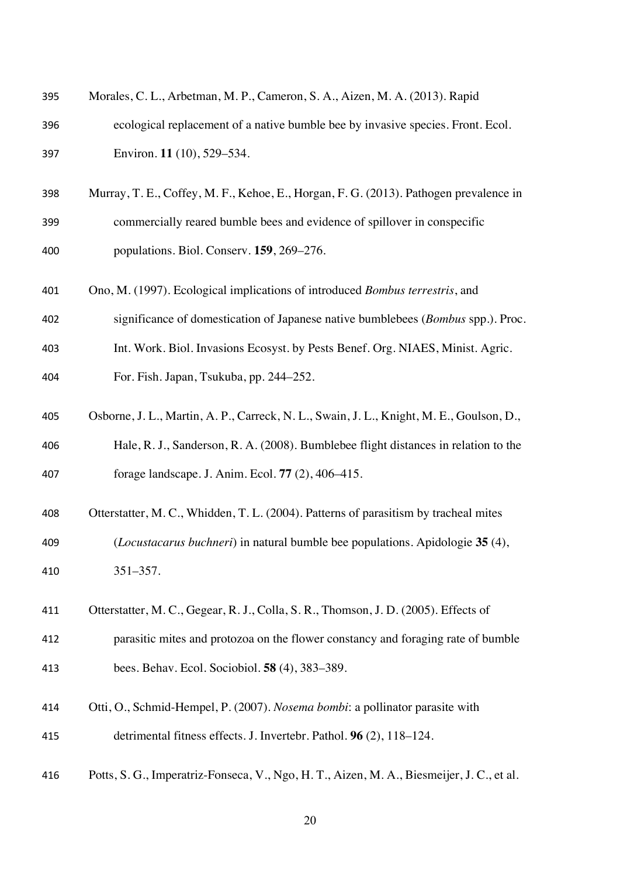| 395 | Morales, C. L., Arbetman, M. P., Cameron, S. A., Aizen, M. A. (2013). Rapid               |
|-----|-------------------------------------------------------------------------------------------|
| 396 | ecological replacement of a native bumble bee by invasive species. Front. Ecol.           |
| 397 | Environ. 11 (10), 529-534.                                                                |
| 398 | Murray, T. E., Coffey, M. F., Kehoe, E., Horgan, F. G. (2013). Pathogen prevalence in     |
| 399 | commercially reared bumble bees and evidence of spillover in conspecific                  |
| 400 | populations. Biol. Conserv. 159, 269-276.                                                 |
| 401 | Ono, M. (1997). Ecological implications of introduced Bombus terrestris, and              |
| 402 | significance of domestication of Japanese native bumblebees (Bombus spp.). Proc.          |
| 403 | Int. Work. Biol. Invasions Ecosyst. by Pests Benef. Org. NIAES, Minist. Agric.            |
| 404 | For. Fish. Japan, Tsukuba, pp. 244–252.                                                   |
| 405 | Osborne, J. L., Martin, A. P., Carreck, N. L., Swain, J. L., Knight, M. E., Goulson, D.,  |
| 406 | Hale, R. J., Sanderson, R. A. (2008). Bumblebee flight distances in relation to the       |
| 407 | forage landscape. J. Anim. Ecol. 77 (2), 406–415.                                         |
| 408 | Otterstatter, M. C., Whidden, T. L. (2004). Patterns of parasitism by tracheal mites      |
| 409 | (Locustacarus buchneri) in natural bumble bee populations. Apidologie 35 (4),             |
| 410 | $351 - 357.$                                                                              |
| 411 | Otterstatter, M. C., Gegear, R. J., Colla, S. R., Thomson, J. D. (2005). Effects of       |
| 412 | parasitic mites and protozoa on the flower constancy and foraging rate of bumble          |
| 413 | bees. Behav. Ecol. Sociobiol. 58 (4), 383–389.                                            |
| 414 | Otti, O., Schmid-Hempel, P. (2007). Nosema bombi: a pollinator parasite with              |
| 415 | detrimental fitness effects. J. Invertebr. Pathol. 96 (2), 118-124.                       |
| 416 | Potts, S. G., Imperatriz-Fonseca, V., Ngo, H. T., Aizen, M. A., Biesmeijer, J. C., et al. |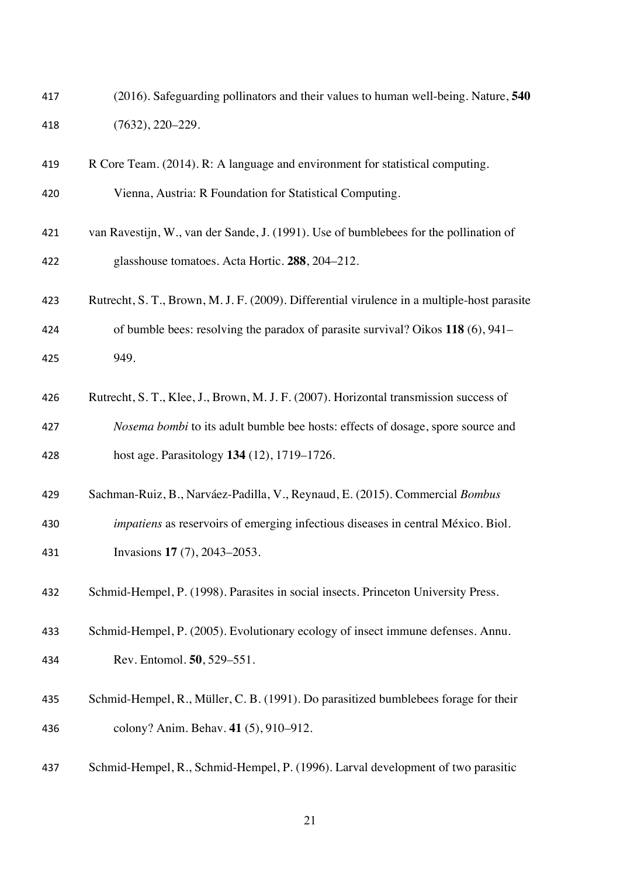| 417 | (2016). Safeguarding pollinators and their values to human well-being. Nature, 540 |
|-----|------------------------------------------------------------------------------------|
| 418 | $(7632), 220 - 229.$                                                               |

| 419 | R Core Team. (2014). R: A language and environment for statistical computing.               |
|-----|---------------------------------------------------------------------------------------------|
| 420 | Vienna, Austria: R Foundation for Statistical Computing.                                    |
| 421 | van Ravestijn, W., van der Sande, J. (1991). Use of bumblebees for the pollination of       |
| 422 | glasshouse tomatoes. Acta Hortic. 288, 204–212.                                             |
| 423 | Rutrecht, S. T., Brown, M. J. F. (2009). Differential virulence in a multiple-host parasite |
| 424 | of bumble bees: resolving the paradox of parasite survival? Oikos $118(6)$ , 941–           |
| 425 | 949.                                                                                        |
|     |                                                                                             |

- Rutrecht, S. T., Klee, J., Brown, M. J. F. (2007). Horizontal transmission success of *Nosema bombi* to its adult bumble bee hosts: effects of dosage, spore source and host age. Parasitology **134** (12), 1719–1726.
- Sachman-Ruiz, B., Narváez-Padilla, V., Reynaud, E. (2015). Commercial *Bombus impatiens* as reservoirs of emerging infectious diseases in central México. Biol. Invasions **17** (7), 2043–2053.
- Schmid-Hempel, P. (1998). Parasites in social insects. Princeton University Press.
- Schmid-Hempel, P. (2005). Evolutionary ecology of insect immune defenses. Annu.
- Rev. Entomol. **50**, 529–551.
- Schmid-Hempel, R., Müller, C. B. (1991). Do parasitized bumblebees forage for their colony? Anim. Behav. **41** (5), 910–912.
- Schmid-Hempel, R., Schmid-Hempel, P. (1996). Larval development of two parasitic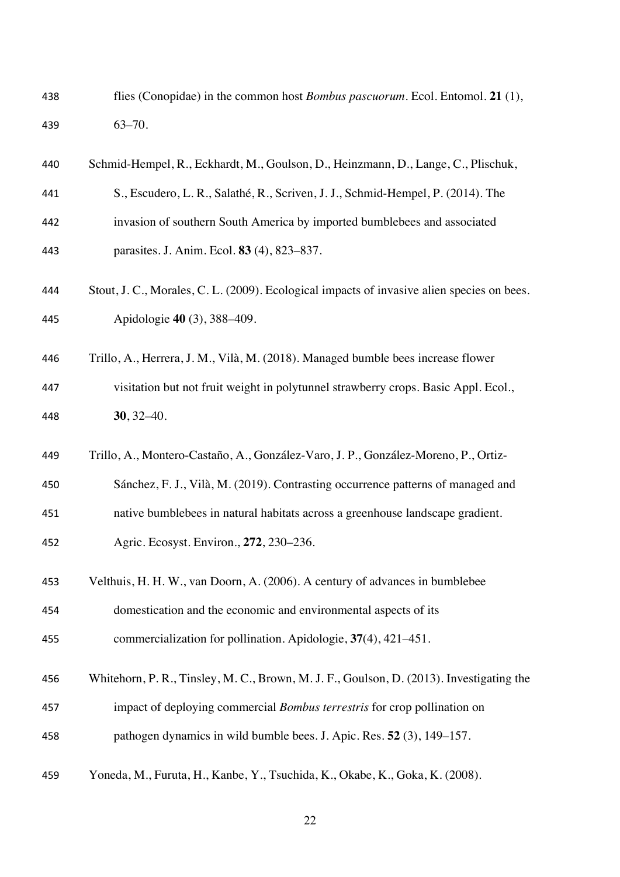| 438 | flies (Conopidae) in the common host <i>Bombus pascuorum</i> . Ecol. Entomol. 21 (1),      |
|-----|--------------------------------------------------------------------------------------------|
| 439 | $63 - 70.$                                                                                 |
| 440 | Schmid-Hempel, R., Eckhardt, M., Goulson, D., Heinzmann, D., Lange, C., Plischuk,          |
| 441 | S., Escudero, L. R., Salathé, R., Scriven, J. J., Schmid-Hempel, P. (2014). The            |
| 442 | invasion of southern South America by imported bumblebees and associated                   |
| 443 | parasites. J. Anim. Ecol. 83 (4), 823-837.                                                 |
| 444 | Stout, J. C., Morales, C. L. (2009). Ecological impacts of invasive alien species on bees. |
| 445 | Apidologie 40 (3), 388–409.                                                                |
| 446 | Trillo, A., Herrera, J. M., Vilà, M. (2018). Managed bumble bees increase flower           |
| 447 | visitation but not fruit weight in polytunnel strawberry crops. Basic Appl. Ecol.,         |
| 448 | $30, 32 - 40.$                                                                             |
| 449 | Trillo, A., Montero-Castaño, A., González-Varo, J. P., González-Moreno, P., Ortiz-         |
| 450 | Sánchez, F. J., Vilà, M. (2019). Contrasting occurrence patterns of managed and            |
| 451 | native bumblebees in natural habitats across a greenhouse landscape gradient.              |
| 452 | Agric. Ecosyst. Environ., 272, 230-236.                                                    |
| 453 | Velthuis, H. H. W., van Doorn, A. (2006). A century of advances in bumblebee               |
| 454 | domestication and the economic and environmental aspects of its                            |
| 455 | commercialization for pollination. Apidologie, $37(4)$ , $421-451$ .                       |
| 456 | Whitehorn, P. R., Tinsley, M. C., Brown, M. J. F., Goulson, D. (2013). Investigating the   |
| 457 | impact of deploying commercial <i>Bombus terrestris</i> for crop pollination on            |
| 458 | pathogen dynamics in wild bumble bees. J. Apic. Res. 52 (3), 149–157.                      |
| 459 | Yoneda, M., Furuta, H., Kanbe, Y., Tsuchida, K., Okabe, K., Goka, K. (2008).               |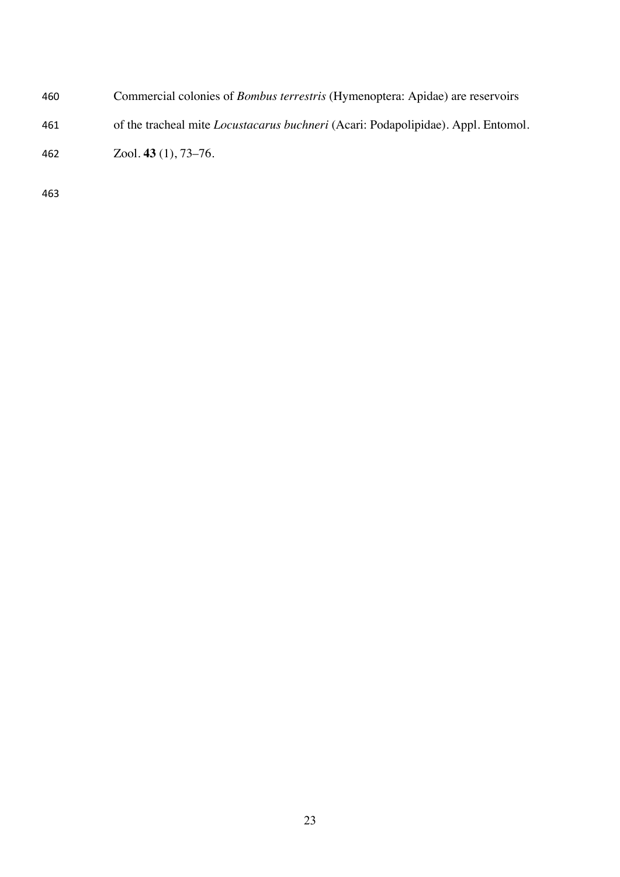Commercial colonies of *Bombus terrestris* (Hymenoptera: Apidae) are reservoirs of the tracheal mite *Locustacarus buchneri* (Acari: Podapolipidae). Appl. Entomol. Zool. **43** (1), 73–76.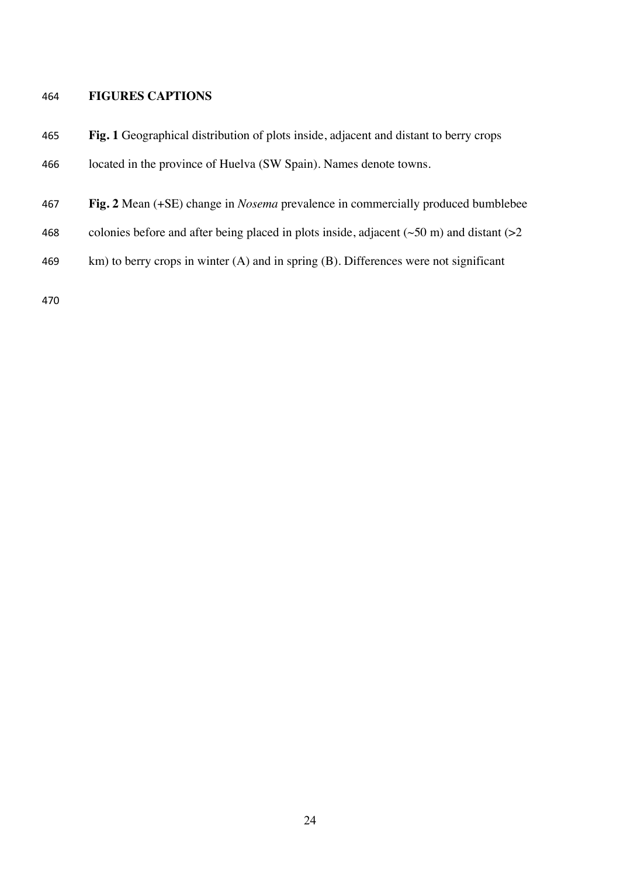# **FIGURES CAPTIONS**

| 465 | <b>Fig. 1</b> Geographical distribution of plots inside, adjacent and distant to berry crops        |
|-----|-----------------------------------------------------------------------------------------------------|
| 466 | located in the province of Huelva (SW Spain). Names denote towns.                                   |
| 467 | Fig. 2 Mean (+SE) change in <i>Nosema</i> prevalence in commercially produced bumblebee             |
| 468 | colonies before and after being placed in plots inside, adjacent ( $\sim$ 50 m) and distant ( $>$ 2 |
| 469 | $km$ ) to berry crops in winter (A) and in spring (B). Differences were not significant             |
| 470 |                                                                                                     |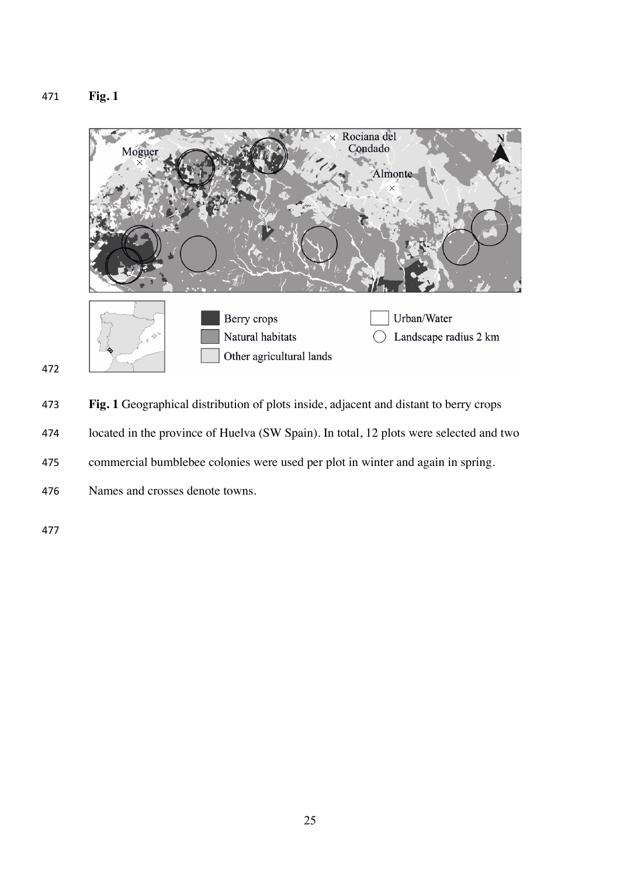**Fig. 1**





**Fig. 1** Geographical distribution of plots inside, adjacent and distant to berry crops

- located in the province of Huelva (SW Spain). In total, 12 plots were selected and two
- commercial bumblebee colonies were used per plot in winter and again in spring.